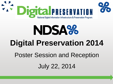



# NDSA% **Digital Preservation 2014**

Poster Session and Reception

July 22, 2014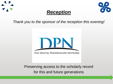





*Thank you to the sponsor of the reception this evening!*



Preserving access to the scholarly record for this and future generations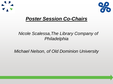



### *Poster Session Co-Chairs*

#### *Nicole Scalessa,The Library Company of Philadelphia*

*Michael Nelson, of Old Dominion University*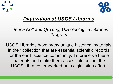



## *Digitization at USGS Libraries*

#### *Jenna Nolt and Qi Tong, U.S Geologica Libraries Program*

USGS Libraries have many unique historical materials in their collection that are essential scientific records for the earth science community. To preserve these materials and make them accessible online, the USGS Libraries embarked on a digitization effort.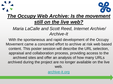### *The Occupy Web Archive: Is the movement still on the live web?*

#### *Maria LaCalle and Scott Reed, Internet Archive/ Archive-It*

With the spontaneous and rapid development of the Occupy Movement came a concerted effort to archive at risk web based content. This poster session will describe the URL selection, appraisal and collaboration process, providing access to the archived sites and offer an analysis of how many URLs archived during the project are no longer available on the live web.

[archive-it.org](http://www.archive-it.org/)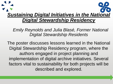# *Sustaining Digital Initiatives in the National Digital Stewardship Residency*

 *Emily Reynolds and Julia Blasé, Former National Digital Stewardship Residents*

The poster discusses lessons learned in the National Digital Stewardship Residency program, where the authors engaged in project planning and implementation of digital archive initiatives. Several factors vital to sustainability for both projects will be described and explored.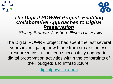



#### *The Digital POWRR Project: Enabling Collaborative Approaches to Digital Preservation*

*Stacey Erdman, Northern Illinois University*

The Digital POWRR project has spent the last several years investigating how those from smaller or less resourced institutions can successfully engage in digital preservation activities within the constraints of their budgets and infrastructure.

[digitalpowrr.niu.edu](http://digitalpowrr.niu.edu/)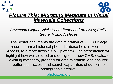# *Picture This: Migrating Metadata in Visual Materials Collections*

*Savannah Gignac, Niels Bohr Library and Archives*; *Emilio Segrè, Visual Archives*

The poster documents the data migration of 25,000 image records from a historical photo database held in Microsoft Access, to a more flexible CMS platform. The presentation will highlight how we selected and designed a new CMS, evaluated existing metadata, prepped for data migration, and ensured better user access and search capabilities of our online photographic archive.

[photos.aip.org](https://photos.aip.org/)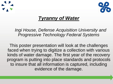



### *Tyranny of Water*

 *Ingi House, Defense Acquisition University and Progressive Technology Federal Systems*

This poster presentation will look at the challenges faced when trying to digitize a collection with various kinds of water damage. The first year of the recovery program is putting into place standards and protocols to insure that all information is captured, including evidence of the damage.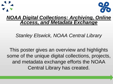

#### *NOAA Digital Collections: Archiving, Online Access, and Metadata Exchange*

*Stanley Elswick, NOAA Central Library*

This poster gives an overview and highlights some of the unique digital collections, projects, and metadata exchange efforts the NOAA Central Library has created.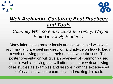

## *Web Archiving: Capturing Best Practices and Tools*

#### *Courtney Whitmore and Laura M. Gentry, Wayne State University Students.*

Many information professionals are overwhelmed with web archiving and are seeking direction and advice on how to begin a web archiving project at their respective institutions. This poster presentation will give an overview of commonly used tools in web archiving and will offer miniature web archiving case studies as examples and lessons from the experienced professionals who are currently undertaking this task.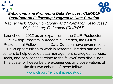### *Enhancing and Promoting Data Services: CLIR/DLF Postdoctoral Fellowship Program in Data Curation*

 *Rachel Frick, Council on Library and Information Resources / Digital Library Federation (CLIR/DLF)*

Launched in 2012 as an expansion of the CLIR Postdoctoral Fellowship Program in Academic Libraries, the CLIR/DLF Postdoctoral Fellowships in Data Curation have given recent PhDs opportunities to work in research libraries and data centers to help develop data management strategies, policies, tools, and services that relate to the fellows' own disciplines. This poster will describe the experiences and observations of the first two cohorts of these fellows.

[www.clir.org/fellowships/postdoc](http://www.clir.org/fellowships/postdoc)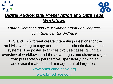# *Digital Audiovisual Preservation and Data Tape Workflows*

*Lauren Sorensen and Paul Klamer, Library of Congress John Spencer, BMS/Chace*

LTFS and TAR format create interesting questions for the archivist working to copy and maintain authentic data across systems. The poster examines two use cases, giving an overview of workflows, and the advantages and disadvantages from preservation perspective, specifically looking at audiovisual material and management of large files.

[www.americanarchive.org](http://www.americanarchive.org/)

[www.bmschace.com](http://www.bmschace.com/)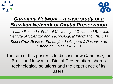



## *Cariniana Network – a case study of a Brazilian Network of Digital Preservation*

 *Laura Rezende, Federal University of Goias and Brazilian Institute of Scientific and Technological Information (IBICT) Sonia Cruz-Riascos, Fundação de Amparo à Pesquisa do Estado de Goiás (FAPEG)*

The aim of this poster is to discuss how *Cariniana*, the Brazilian Network of Digital Preservation, shares technological solutions and the experience of its users.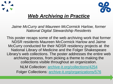



## *Web Archiving in Practice*

*Jaime McCurry and Maureen McCormick Harlow, former National Digital Stewardship Residents*

This poster recaps some of the web archiving work that former NDSR residents Maureen McCormick Harlow and Jaime McCurry conducted for their NDSR residency projects at the National Library of Medicine and the Folger Shakespeare Library's web collections. The poster addresses the entire web archiving process, from picking a theme to making the collections visible throughout an organization. NLM Collection: [archive-it.org/collections/4254](https://archive-it.org/collections/4254)

Folger Collections: [archive-it.org/organizations/576](https://archive-it.org/organizations/576)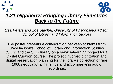# *1.21 Gigahertz! Bringing Library Filmstrips Back to the Future*

*Lisa Peters and Zoe Stachel, University of Wisconsin-Madison School of Library and Information Studies*

The poster presents a collaboration between students from UW-Madison's School of Library and Information Studies (SLIS) and the SLIS library on a service-learning project for a Digital Curation course. The project involved digitization and digital preservation planning for the library's collection of rare 1960s educational filmstrips and accompanying audio recordings.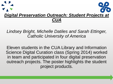# *Digital Preservation Outreach: Student Projects at CUA*

#### *Lindsey Bright, Michelle Datiles and Sarah Ettinger, Catholic University of America*

Eleven students in the CUA Library and Information Science Digital Curation class (Spring 2014) worked in team and participated in four digital preservation outreach projects. The poster highlights the student project products.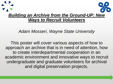

*Adam Mosseri, Wayne State University*

This poster will cover various aspects of how to approach an archive that is in need of attention, how to create interdepartmental cooperation in an academic environment and innovative ways to recruit undergraduate and graduate volunteers for archival and digital preservation projects.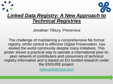# *Linked Data Registry: A New Approach to Technical Registries*

*Jonathan Tilbury, Preservica*

The challenge of maintaining a comprehensive file format registry, whilst central to effective Digital Preservation, has eluded the world community despite many initiatives. This poster shows a practical way to operate a international peer-topeer network of contributers and consumers of technical registry information and is based on EU funded research under the ENSURE project.

[www.preservica.com](http://www.preservica.com/)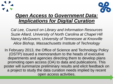

### *Open Access to Government Data: Implications for Digital Curation*

*Cal Lee, Council on Library and Information Resources Suzie Allard, University of North Carolina at Chapel Hill Nancy McGovern, University of Tennessee at Knoxville Alice Bishop, Massachusetts Institute of Technology*

In February 2013, the Office of Science and Technology Policy (OSTP) issued a memorandum to the heads of executive departments and agencies directing them to develop plans promoting open access (OA) to data and publications. This poster will summarize preliminary results and elicit feedback on a project to study the data curation needs implied by recent open access activities.